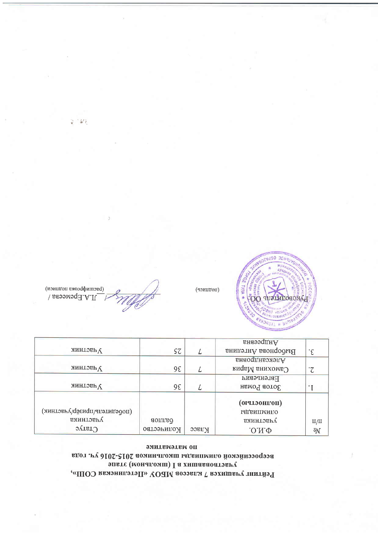## по мятематике вдот .гу д165-г102 аоминаломш иданимило йомойнозодээа эпате (монагомш) I а хишаваоатэвиу Рейтинг учащихся 7 классов MBOV «Петелинская СОШ»,

|                              |            |       | андреевна          |                |
|------------------------------|------------|-------|--------------------|----------------|
| <b>А</b> ЧЗСТНИК             | SΖ         |       | Выборнова Ангелина | ۰£             |
|                              |            |       | Александровна      |                |
| <b>Аники</b>                 | 98         |       | Самохина Мария     |                |
|                              |            |       | <b>FBLGHPGBNA</b>  |                |
| <b>Анастник</b>              | 98         |       | Зотов Роман        |                |
|                              |            |       | (полностью)        |                |
| (иоосуитель/призер/участник) |            |       | <b>ИДАНИМИПО</b>   |                |
| участника                    | баллов     |       | участника          | II/II          |
| $C$ Taryc                    | Количество | Класс | $.0.01 \Phi$       | $\overline{Q}$ |

 $\begin{array}{c} \text{(param\'{q}} \text{posus non-muon)}\\ \text{(param\'{q}} \text{posus non-muon)} \end{array}$ 

(подцист)



"新店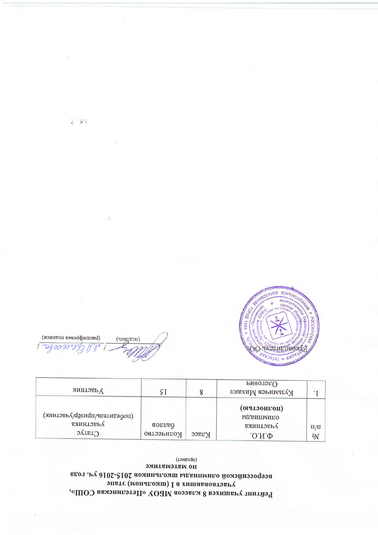# эмитвмэтвм оп вдот .гү д105-г102 аоминаломш иданпимпо йомэйнээодээа эпвте (монапомш) I а хишаваоатэвру Рейтинг учащихся 8 классов MBOУ «Петелинская СОШ»,

(предмет)

| <b>Анастник</b>                                        |                      |        | Риаотэп∪<br>Кузьмичев Михаил                        |                       |
|--------------------------------------------------------|----------------------|--------|-----------------------------------------------------|-----------------------|
| (лобедитель/призёр/участник)<br>участника<br>$C$ Taryc | аоплов<br>Количество | ртивсс | (иолностью)<br><b>слимпиады</b><br>ранных<br>.0.М.Ф | $\rm{H}/\rm{H}$<br>ōN |

(изиштои вмоофитов) (подщись) coccele



深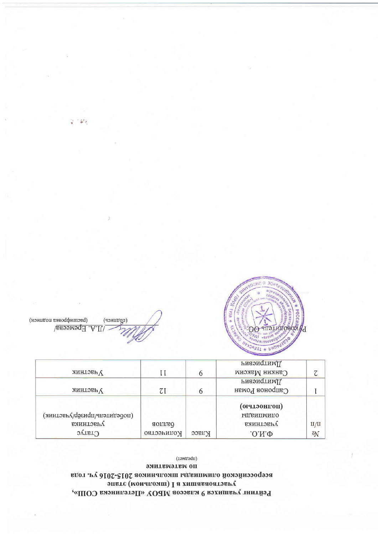# эмитвмэтвм оп вдот .гү д16-с102 аоминаломш идвипмило йомэйнээодээа эпате (монапомш) I а хишаваоатэвиу Рейтинг учащихся 9 классов МБОУ «Петелинска СОШ»,

(TPeAMeT)

| <b>АЗСТНИК</b>              | H          |       | имприевии<br>Санкин Максим |       |
|-----------------------------|------------|-------|----------------------------|-------|
|                             |            |       | иилриевич                  |       |
| <b>АЗСТНИК</b>              | WΙ         |       | Сапронов Роман             |       |
|                             |            |       | (полностью)                |       |
| (имнлэгь удаєм ди удаєтник) |            |       | <b>ПАДВИПМИЛО</b>          |       |
| участника                   | osuno      |       | участника                  | II/II |
| $C$ Taryc                   | Количество | класс | .0.01                      | ōN    |

(щопнись) (изиштои внаофиппов) LA. Epemeens



安全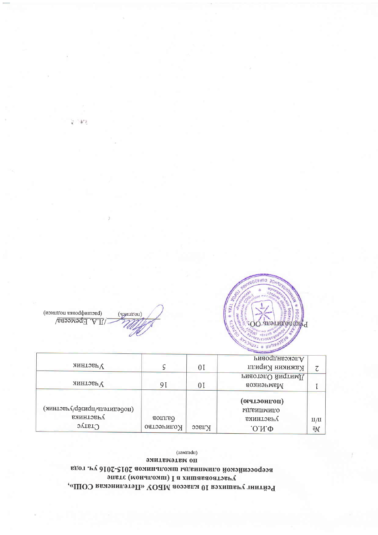# по мятематике всероссийской олимпиады школьников 2015-2016 уч. года эпете (монакомш) I а хишаваоатэвиу Рейтинг учашихся 10 классов МБОУ «Петелинская СОШ»,

(дамтаdи)

|                                           |                            |       | Александрович                                |       |
|-------------------------------------------|----------------------------|-------|----------------------------------------------|-------|
| $\Lambda$ изслник                         |                            | 0 I   | Кажикин Кирилл                               |       |
|                                           |                            |       | имприй Олегович                              |       |
| <b>Адастник</b>                           | 91                         | 01    | Мамченков                                    |       |
| (иоретилении) дазер/ластник)<br>участника | <b>G</b> anno <sub>B</sub> |       | (полностью)<br><b>ИДАИПИМПО</b><br>участника | II/II |
| $C$ raryc                                 | Количество                 | Класс | $.0.01\Phi$                                  | ōN    |

(изициониз подписм) (чэнштон) /I.A. Epeweena



 $\mathcal{L}$  :